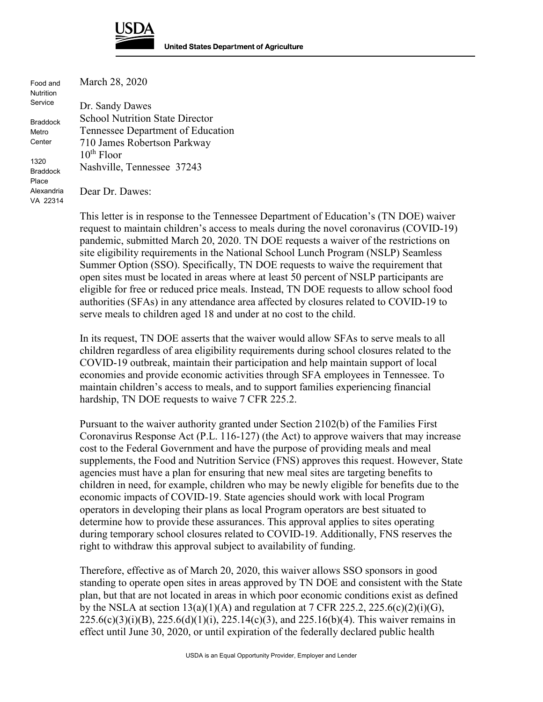

Food and **Nutrition** Service Braddock Metro

**Center** 

1320 Braddock Place Alexandria VA 22314 March 28, 2020

Dr. Sandy Dawes School Nutrition State Director Tennessee Department of Education 710 James Robertson Parkway  $10<sup>th</sup>$  Floor Nashville, Tennessee 37243

Dear Dr. Dawes:

This letter is in response to the Tennessee Department of Education's (TN DOE) waiver request to maintain children's access to meals during the novel coronavirus (COVID-19) pandemic, submitted March 20, 2020. TN DOE requests a waiver of the restrictions on site eligibility requirements in the National School Lunch Program (NSLP) Seamless Summer Option (SSO). Specifically, TN DOE requests to waive the requirement that open sites must be located in areas where at least 50 percent of NSLP participants are eligible for free or reduced price meals. Instead, TN DOE requests to allow school food authorities (SFAs) in any attendance area affected by closures related to COVID-19 to serve meals to children aged 18 and under at no cost to the child.

In its request, TN DOE asserts that the waiver would allow SFAs to serve meals to all children regardless of area eligibility requirements during school closures related to the COVID-19 outbreak, maintain their participation and help maintain support of local economies and provide economic activities through SFA employees in Tennessee. To maintain children's access to meals, and to support families experiencing financial hardship, TN DOE requests to waive 7 CFR 225.2.

Pursuant to the waiver authority granted under Section 2102(b) of the Families First Coronavirus Response Act (P.L. 116-127) (the Act) to approve waivers that may increase cost to the Federal Government and have the purpose of providing meals and meal supplements, the Food and Nutrition Service (FNS) approves this request. However, State agencies must have a plan for ensuring that new meal sites are targeting benefits to children in need, for example, children who may be newly eligible for benefits due to the economic impacts of COVID-19. State agencies should work with local Program operators in developing their plans as local Program operators are best situated to determine how to provide these assurances. This approval applies to sites operating during temporary school closures related to COVID-19. Additionally, FNS reserves the right to withdraw this approval subject to availability of funding.

Therefore, effective as of March 20, 2020, this waiver allows SSO sponsors in good standing to operate open sites in areas approved by TN DOE and consistent with the State plan, but that are not located in areas in which poor economic conditions exist as defined by the NSLA at section  $13(a)(1)(A)$  and regulation at 7 CFR 225.2, 225.6(c)(2)(i)(G),  $225.6(c)(3)(i)(B)$ ,  $225.6(d)(1)(i)$ ,  $225.14(c)(3)$ , and  $225.16(b)(4)$ . This waiver remains in effect until June 30, 2020, or until expiration of the federally declared public health